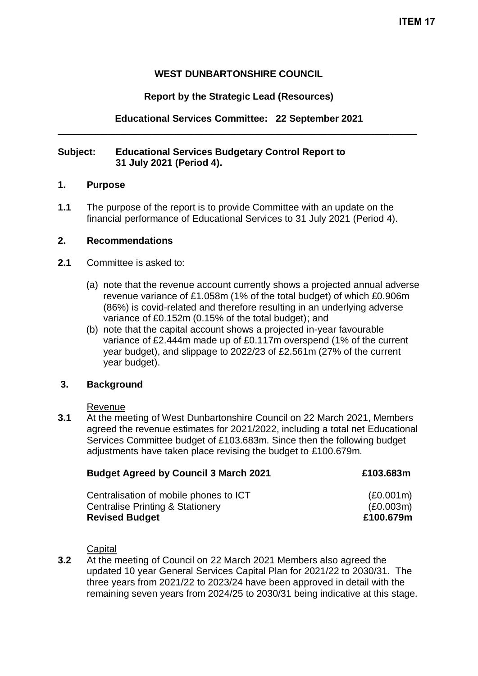## **WEST DUNBARTONSHIRE COUNCIL**

## **Report by the Strategic Lead (Resources)**

**Educational Services Committee: 22 September 2021** \_\_\_\_\_\_\_\_\_\_\_\_\_\_\_\_\_\_\_\_\_\_\_\_\_\_\_\_\_\_\_\_\_\_\_\_\_\_\_\_\_\_\_\_\_\_\_\_\_\_\_\_\_\_\_\_\_\_\_\_\_\_\_\_\_\_\_

## **Subject: Educational Services Budgetary Control Report to 31 July 2021 (Period 4).**

## **1. Purpose**

**1.1** The purpose of the report is to provide Committee with an update on the financial performance of Educational Services to 31 July 2021 (Period 4).

#### **2. Recommendations**

- **2.1** Committee is asked to:
	- (a) note that the revenue account currently shows a projected annual adverse revenue variance of £1.058m (1% of the total budget) of which £0.906m (86%) is covid-related and therefore resulting in an underlying adverse variance of £0.152m (0.15% of the total budget); and
	- (b) note that the capital account shows a projected in-year favourable variance of £2.444m made up of £0.117m overspend (1% of the current year budget), and slippage to 2022/23 of £2.561m (27% of the current year budget).

## **3. Background**

#### Revenue

**3.1** At the meeting of West Dunbartonshire Council on 22 March 2021, Members agreed the revenue estimates for 2021/2022, including a total net Educational Services Committee budget of £103.683m. Since then the following budget adjustments have taken place revising the budget to £100.679m.

| <b>Budget Agreed by Council 3 March 2021</b> | £103,683m |  |
|----------------------------------------------|-----------|--|
| Centralisation of mobile phones to ICT       | (E0.001m) |  |
| <b>Centralise Printing &amp; Stationery</b>  | (E0.003m) |  |

**Revised Budget £100.679m**

#### **Capital**

**3.2** At the meeting of Council on 22 March 2021 Members also agreed the updated 10 year General Services Capital Plan for 2021/22 to 2030/31. The three years from 2021/22 to 2023/24 have been approved in detail with the remaining seven years from 2024/25 to 2030/31 being indicative at this stage.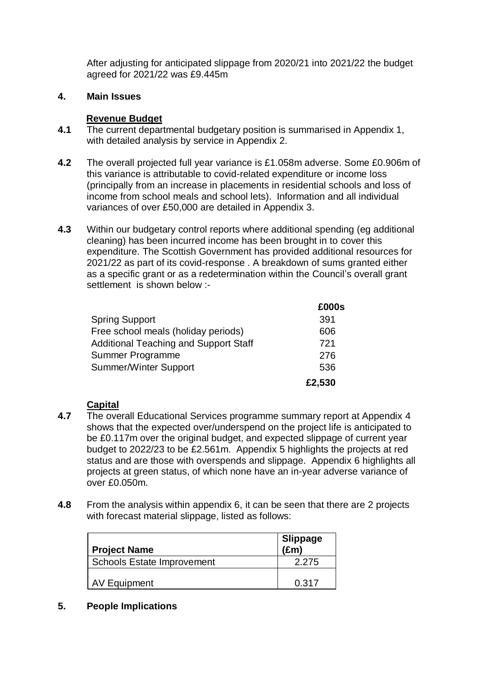After adjusting for anticipated slippage from 2020/21 into 2021/22 the budget agreed for 2021/22 was £9.445m

## **4. Main Issues**

# **Revenue Budget**

- **4.1** The current departmental budgetary position is summarised in Appendix 1, with detailed analysis by service in Appendix 2.
- **4.2** The overall projected full year variance is £1.058m adverse. Some £0.906m of this variance is attributable to covid-related expenditure or income loss (principally from an increase in placements in residential schools and loss of income from school meals and school lets). Information and all individual variances of over £50,000 are detailed in Appendix 3.
- **4.3** Within our budgetary control reports where additional spending (eg additional cleaning) has been incurred income has been brought in to cover this expenditure. The Scottish Government has provided additional resources for 2021/22 as part of its covid-response . A breakdown of sums granted either as a specific grant or as a redetermination within the Council's overall grant settlement is shown below :-

|                                              | £000s  |
|----------------------------------------------|--------|
| <b>Spring Support</b>                        | 391    |
| Free school meals (holiday periods)          | 606    |
| <b>Additional Teaching and Support Staff</b> | 721    |
| Summer Programme                             | 276    |
| <b>Summer/Winter Support</b>                 | 536    |
|                                              | £2,530 |

# **Capital**

- **4.7** The overall Educational Services programme summary report at Appendix 4 shows that the expected over/underspend on the project life is anticipated to be £0.117m over the original budget, and expected slippage of current year budget to 2022/23 to be £2.561m. Appendix 5 highlights the projects at red status and are those with overspends and slippage. Appendix 6 highlights all projects at green status, of which none have an in-year adverse variance of over £0.050m.
- **4.8** From the analysis within appendix 6, it can be seen that there are 2 projects with forecast material slippage, listed as follows:

| <b>Project Name</b>               | Slippage<br>(£m) |
|-----------------------------------|------------------|
| <b>Schools Estate Improvement</b> | 2.275            |
| AV Equipment                      | 0.317            |

# **5. People Implications**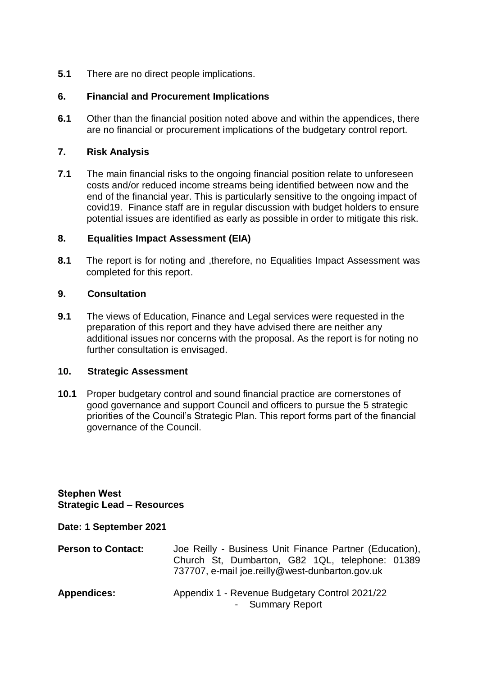**5.1** There are no direct people implications.

## **6. Financial and Procurement Implications**

**6.1** Other than the financial position noted above and within the appendices, there are no financial or procurement implications of the budgetary control report.

## **7. Risk Analysis**

**7.1** The main financial risks to the ongoing financial position relate to unforeseen costs and/or reduced income streams being identified between now and the end of the financial year. This is particularly sensitive to the ongoing impact of covid19. Finance staff are in regular discussion with budget holders to ensure potential issues are identified as early as possible in order to mitigate this risk.

## **8. Equalities Impact Assessment (EIA)**

**8.1** The report is for noting and ,therefore, no Equalities Impact Assessment was completed for this report.

## **9. Consultation**

**9.1** The views of Education, Finance and Legal services were requested in the preparation of this report and they have advised there are neither any additional issues nor concerns with the proposal. As the report is for noting no further consultation is envisaged.

## **10. Strategic Assessment**

**10.1** Proper budgetary control and sound financial practice are cornerstones of good governance and support Council and officers to pursue the 5 strategic priorities of the Council's Strategic Plan. This report forms part of the financial governance of the Council.

**Stephen West Strategic Lead – Resources**

**Date: 1 September 2021**

| <b>Person to Contact:</b> | Joe Reilly - Business Unit Finance Partner (Education),<br>Church St, Dumbarton, G82 1QL, telephone: 01389<br>737707, e-mail joe.reilly@west-dunbarton.gov.uk |
|---------------------------|---------------------------------------------------------------------------------------------------------------------------------------------------------------|
| <b>Appendices:</b>        | Appendix 1 - Revenue Budgetary Control 2021/22<br>- Summary Report                                                                                            |